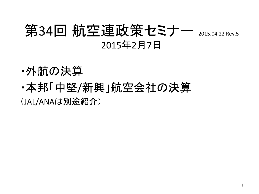# 第34回 航空連政策セミナー 2015.04.22 Rev.5 2015年2月7日

- •外航の決算
- ・本邦「中堅/新興」航空会社の決算

(JAL/ANAは別途紹介)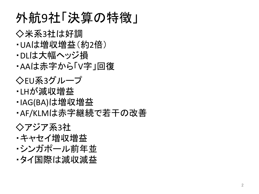# 外航9社「決算の特徴」

◇米系3社は好調

- · UAは増収増益(約2倍)
- ・DLは大幅ヘッジ損

·AAは赤字から「V字」回復

◇EU系3グループ

- ・LHが減収増益
- ・IAG(BA)は増収増益

•AF/KLMは赤字継続で若干の改善

◇アジア系3社 ・キャセイ増収増益 ・シンガポール前年並 •タイ国際は減収減益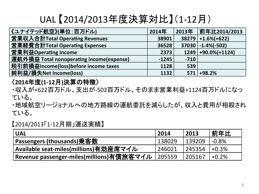# UAL 【2014/2013年度決算対比】(1-12月)

| 《ユナイテッド航空》(単位:百万ドル)                      | 2014年   |        |                        |
|------------------------------------------|---------|--------|------------------------|
| 営業収入合計Total Operating Revenues           | 38901   |        | $38279$ +1.6%(+622)    |
| 営業経費合計Total Operating Expenses           | 36528   |        | $37030$ $-1.4%$ $-502$ |
| 営業利益Operating Income                     | 2373    |        | $1249$ +90.0%(+1124)   |
| 運航外損益 Total nonoperating income(expense) | $-1245$ | $-710$ |                        |
| 税引前損益Income(loss)before income taxes     | 1128    | 539    |                        |
| 純利益/損失Net Income(loss)                   | 1132    |        | $571$ +98.2%           |

#### 〈**2014**年度**(1-12**月**)**決算䛾特徴〉

・収入が+622百万ドル、支出が-502百万ドル、そのまま営業利益+1124百万ドルになっ ている。

・地域航空リージョナルへの地方路線の運航委託を減らしたが、収入と費用が相殺され ている。

【2014/2013「1-12月期」運送実績】 

| <b>UAL</b>                                      | 2014   | 2013   | <b>.前年比</b> |
|-------------------------------------------------|--------|--------|-------------|
| └ Passengers (thousands)乗客数                     | 138029 | 139209 | $-0.8%$     |
| ' <u>Available seat-</u> miles(millions)有効座席マイル | 246021 | 245354 | $+0.3\%$    |
| Revenue passenger-miles(millions)有償旅客マイル        | 205559 | 205167 | $+0.2%$     |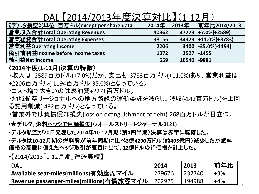### DAL 【2014/2013年度決算対比】(1-12月)

| 《デルタ航空》(単位:百万ドル)except per share data | 2014年 | 2013年       | 前年比2014/2013             |
|---------------------------------------|-------|-------------|--------------------------|
| 営業収入合計Total Operating Revenues        | 40362 |             | $37773$ +7.0%(+2589)     |
| 営業経費合計Total Operating Expenses        | 38156 |             | $34373$ +11.0%(+3783)    |
| 営業利益Operating Income                  | 2206  |             | $3400$ $-35.0\%$ $-1194$ |
| 税引前利益Income before income taxes       | 1072  |             | $2527 - 1455$            |
| 純利益Net income                         | 659   | 10540 -9881 |                          |

#### 〈**2014**年度**(1-12**月**)**決算䛾特徴〉

- ・収入は+2589百万ドル(+7.0%)だが、支出も+3783百万ドル(+11.0%)あり、営業利益は +2206百万ドル(-1194百万ドル-35.0%)となっている。
- ・コスト増で大きいのは燃油費+2271百万ドル。
- ・地域航空リージョナルへの地方路線の運航委託を減らし、減収(-142百万ドル)を上回 る費用削減(-432百万ドル)となっている。
- ・営業外では負債償却損失(loss on extinguishment of debt)-268百万ドルが目立つ。
- •★デルタ、燃料ヘッジで巨額損失**(**ウオールストリートジャーナル**0121)**
- •デルタ航空が**20**日発表した**2014**年**10-12**月期(第**4**四半期)決算䛿赤字に転落した。
- •デルタ䛿**10-12**月期䛾燃料費が前年同期に比べ**3**億**4200**万ドル(約**405**億円)減少したが燃料 価格の高騰に備えたヘッジ取引が裏目に出て、12億ドルの評価損を計上した。
- •【2014/2013「1-12月期」運送実績】

| <b>DAL</b>                               | 2014   | 2013   | 前年比   |
|------------------------------------------|--------|--------|-------|
| Available seat-miles(millions)有効座席マイル    | 239676 | 232740 | $+3%$ |
| Revenue passenger-miles(millions)有償旅客マイル | 202925 | 194988 | $+4%$ |

4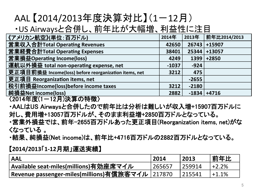# AAL 【2014/2013年度決算対比】 (1-12月)

### ・US Airwaysと合併し、前年比が大幅増、利益性に注目

| 《アメリカン航空》(単位:百万ドル)                                                                                                      | 2014年   | 2013年   | 前年比2014/2013  |
|-------------------------------------------------------------------------------------------------------------------------|---------|---------|---------------|
| 営業収入合計Total Operating Revenues                                                                                          | 42650   | 26743   | +15907        |
| 営業経費合計Total Operating Expenses                                                                                          | 38401   | 25344   | +13057        |
| 営業損益Operating Income(loss)                                                                                              | 4249    | 1399    | +2850         |
| 運航以外損益 total non-operating expense, net                                                                                 | $-1037$ | $-924$  |               |
| 更正項目前損益 Income(loss) before reorganization items, net                                                                   | 3212    | 475     |               |
| 更正項目 Reorganization items, net                                                                                          |         | $-2655$ |               |
| 税引前損益Income(loss)before income taxes                                                                                    | 3212    | $-2180$ |               |
| 純損益Net income(loss)                                                                                                     | 2882    |         | $-1834$ +4716 |
| $\overline{0.0114}$ $\overline{0.0114}$ $\overline{0.0111}$ $\overline{0.0111}$ $\overline{0.0111}$ $\overline{0.0111}$ |         |         |               |

〈2014年度(1ー12月)決算の特徴〉

・AALはUS Airwaysと合併したので前年比は分析は難しいが収入増+15907百万ドルに 対し、費用増+13057百万ドルが、そのまま利益増+2850百万ドルとなっている。 ・営業外損益では、前年−2655百万ドルあった更正項目(Reorganization items, net)がな くなっている 。 

・結果、 純損益(Net income)は、 前年比+4716百万ドルの2882百万ドルとなっている。

【**2014/2013**「**1-12**月期」運送実績】 

| ' AAL                                               | 2014   | 2013   | 前年比      |
|-----------------------------------------------------|--------|--------|----------|
| Available seat-miles(millions)有効座席マイル               | 265657 | 259914 | $+2.2\%$ |
| r Revenue passenger-miles(millions)有償旅客マイル   217870 |        | 215541 | $+1.1\%$ |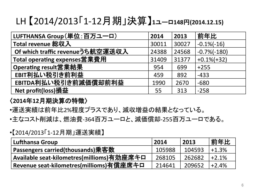### LH 【2014/2013「1-12月期」決算】**1**ユーロ**148**円**(2014.12.15)**

| LUFTHANSA Group(単位:百万ユーロ)        | 2014  | 2013  | 前年比            |
|----------------------------------|-------|-------|----------------|
| <b>Total revenue 総収入</b>         | 30011 | 30027 | $-0.1\%(-16)$  |
| Of which traffic revenueうち航空運送収入 | 24388 | 24568 | $-0.7\%(-180)$ |
| Total operating expenses営業費用     | 31409 | 31377 | $+0.1\%(+32)$  |
| Operating result営業結果             | 954   | 699   | $+255$         |
| EBIT利払い税引き前利益                    | 459   | 892   | $-433$         |
| EBITDA利払い税引き前減価償却前利益             | 1990  | 2670  | $-680$         |
| Net profit(loss)損益               | 55    | 313   | $-258$         |

#### 〈**2014**年**12**月期決算䛾特徴〉

- •運送実績は前年比2%程度プラスであり、減収増益の結果となっている。
- •主なコスト削減は、燃油費-364百万ユーロと、減価償却-255百万ユーロである。

#### •【2014/2013「1-12月期」運送実績】

| <b>Lufthansa Group</b>                               | 2014   | 2013   | 前年比      |
|------------------------------------------------------|--------|--------|----------|
| Passengers carried(thousands)乗客数                     | 105988 | 104593 | $+1.3%$  |
| ' <u>Available seat-kil</u> ometres(millioms)有効座席キロ  | 268105 | 262682 | $+2.1%$  |
| <sup> </sup> Revenue seat-kilometres(millioms)有償座席キロ | 214641 | 209652 | $+2.4\%$ |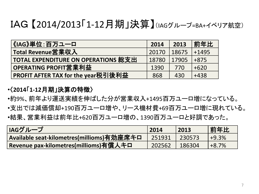## IAG 【2014/2013「1-12月期」決算】(IAGグループ=BA+イベリア航空)

| │《IAG》単位∶百万ユ一ロ                             | 2014  | 2013  | 前年比      |
|--------------------------------------------|-------|-------|----------|
| Total Revenue営業収入                          | 20170 | 18675 | $ +1495$ |
| <b>TOTAL EXPENDITURE ON OPERATIONS 総支出</b> | 18780 | 17905 | $+875$   |
| OPERATING PROFIT営業利益                       | 1390  | 770   | $+620$   |
| PROFIT AFTER TAX for the year税引後利益         | 868   | 430   | $+438$   |

#### •〈**2014**「**1-12**月期」決算䛾特徴〉

- •約9%、前年より運送実績を伸ばした分が営業収入+1495百万ユーロ増になっている。
- •支出では減価償却+190百万ユーロ増や、リース機材費+69百万ユーロ増に現れている。
- •結果、営業利益は前年比+620百万ユーロ増の、1390百万ユーロと好調であった。

| IAGグループ                                   | 2014   | 2013   | 前年比      |
|-------------------------------------------|--------|--------|----------|
| Available seat-kilometres(millioms)有効座席キロ | 251931 | 230573 | $49.3\%$ |
| Revenue pax-kilometres(millioms)有償人キロ     | 202562 | 186304 | $+8.7%$  |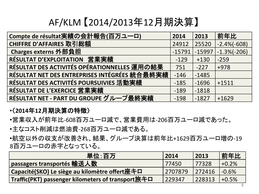## AF/KLM 【2014/2013年12月期決算】

| Compte de résultat実績の会計報告(百万ユーロ)               | 2014     | 2013     | 前年比            |
|------------------------------------------------|----------|----------|----------------|
| CHIFFRE D'AFFAIRES 取引総額                        | 24912    | 25520    | $-2.4\%(-608)$ |
| Charges externs 外部負担                           | $-15791$ | $-15997$ | $-1.3\%(-206)$ |
| RÉSULTAT D'EXPLOITATION 営業実績                   | $-129$   | $+130$   | $-259$         |
| RÉSULTAT DES ACTIVITÉS OPÉRATIONNELLES 運用の結果   | 751      | $-227$   | $+978$         |
| RÉSULTAT NET DES ENTREPRISES INTÉGRÉES 統合最終実績  | $-146$   | $-1485$  |                |
| <b>RÉSULTAT DES ACTIVITÉS POURSUIVIES 活動実績</b> | $-185$   | $-1696$  | $+1511$        |
| <b>RÉSULTAT DE L'EXERCICE 営業実績</b>             | $-189$   | $-1818$  |                |
| RÉSULTAT NET - PART DU GROUPE グループ最終実績         | $-198$   | $-1827$  | $+1629$        |

#### •〈**2014**年**12**月期決算䛾特徴〉

- •営業収入が前年比-608百万ユーロ減で、営業費用䛿-206百万ユーロ減であった。
- •主なコスト削減は燃油費-268百万ユーロ減である。

•航空以外の収支が改善され、結果、グループ決算は前年比+1629百万ユーロ増の-19 8百万ユーロの赤字となっている。

| 単位:百万                                             | 2014    | 2013   | 前年比     |
|---------------------------------------------------|---------|--------|---------|
| passagers transportés 輸送人数                        | 77450   | 77328  | $+0.2%$ |
| Capacité(SKO) Le siège au kilomètre offert座キロ     | 2707879 | 272416 | $-0.6%$ |
| Traffic(PKT) passenger kilometers of transport旅キロ | 229347  | 228313 | $+0.5%$ |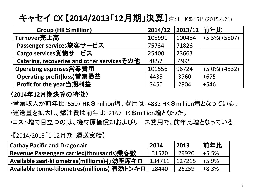キャセイ **CX** 【**2014/2013**「**12**月期」決算】注:1 HK\$15円(2015.4.21)

| Group (HK \$ million)                      | 2014/12 | 2013/12 前年比 |                  |
|--------------------------------------------|---------|-------------|------------------|
| Turnover売上高                                | 105991  | 100484      | $+5.5\% (+5507)$ |
| Passenger services旅客サービス                   | 75734   | 71826       |                  |
| Cargo services貨物サービス                       | 25400   | 23663       |                  |
| Catering, recoveries and other servicesその他 | 4857    | 4995        |                  |
| Operating expenses営業費用                     | 101556  | 96724       | $+5.0\%(+4832)$  |
| Operating profit(loss)営業損益                 | 4435    | 3760        | $+675$           |
| Profit for the year当期利益                    | 3450    | 2904        | $+546$           |

#### 〈**2014**年**12**月期決算䛾特徴〉

- •営業収入が前年比+5507 HK\$million増、費用は+4832 HK\$million増となっている。 •運送量を拡大し、燃油費は前年比+2167 HK\$million増となった。
- •コスト増で目立つのは、機材原価償却およびリース費用で、前年比増となっている。

#### •【2014/2013「1-12月期」運送実績】

| <b>Cathay Pacific and Dragonair</b>         | 2014   | 2013   | 前年比      |
|---------------------------------------------|--------|--------|----------|
| Revenue Passengers carried(thousands)乗客数    | 31570  | 29920  | ' +5.5%  |
| Available seat-kilometres(millioms)有効座席キロ   | 134711 | 127215 | $+5.9%$  |
| Available tonne-kilometres(millioms) 有効トンキロ | 28440  | 26259  | $+8.3\%$ |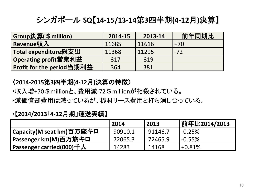### シンガポール **SQ**【**14-15/13-14**第**3**四半期**(4-12**月**)**決算】

| Group決算(\$million)        | 2014-15 | 2013-14 | 前年同期比 |
|---------------------------|---------|---------|-------|
| Revenue収入                 | 11685   | 11616   | $+70$ |
| Total expenditure総支出      | 11368   | 11295   | $-72$ |
| Operating profit営業利益      | 317     | 319     |       |
| Profit for the period当期利益 | 364     | 381     |       |

#### 〈**2014-2015**第**3**四半期**(4-12**月**)**決算䛾特徴〉

- •収入増+70\$millionと、費用減-72\$millionが相殺されている。
- •減価償却費用は減っているが、機材リース費用と打ち消し合っている。

#### •【**2014/2013**「**4-12**月期」運送実績】

|                                 | 2014    | 2013    | 前年比2014/2013 |
|---------------------------------|---------|---------|--------------|
| Capacity(M seat km)百万座キロ        | 90910.1 | 91146.7 | $-0.25%$     |
|                                 | 72065.3 | 72465.9 | $-0.55\%$    |
| <b>Passenger carried(000)千人</b> | 14283   | 14168   | $+0.81%$     |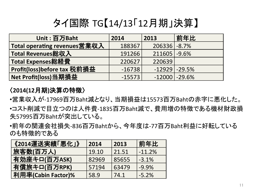# タイ国際 TG【14/13「12月期」決算】

| Unit: 百万Baht                 | 2014     | 2013              | 前年比 |
|------------------------------|----------|-------------------|-----|
| Total operating revenues営業収入 | 188367   | $206336$ $-8.7%$  |     |
| Total Revenues総収入            | 191266   | $211605 - 9.6%$   |     |
| $\mid$ Total Expenses総経費     | 220627   | 220639            |     |
| Profit(loss)before tax 税前損益  | $-16738$ | $-12929$ $-29.5%$ |     |
| Net Profit(loss)当期損益         | $-15573$ | $-12000$ $-29.6%$ |     |

#### 〈**2014(12**月期**)**決算䛾特徴〉

•営業収入が-17969百万Baht減となり、当期損益は15573百万Bahtの赤字に悪化した。 •コスト削減で目立つのは人件費-1835百万Baht減で、費用増の特徴である機材財政損 失57995百万Bahtが突出している。

•前年の関連会社損失-836百万Bahtから、今年度は-77百万Baht利益に好転している のも特徴的である

| 《2014運送実績「悪化」》     | 2014  | 2013  | 前年比      |
|--------------------|-------|-------|----------|
| 旅客数(百万人)           | 19.10 | 21.51 | $-11.2%$ |
| 有効座キロ(百万ASK)       | 82969 | 85655 | $-3.1%$  |
| 有償旅キロ(百万RPK)       | 57194 | 63479 | $-9.9%$  |
| 利用率(Cabin Factor)% | 58.9  | 74.1  | $-5.2%$  |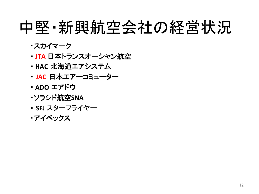# 中堅・新興航空会社の経営状況

- ・スカイマーク
- ・ **JTA** 日本トランスオーシャン航空
- ・ **HAC** 北海道エアシステム
- ・ **JAC** 日本エアーコミューター
- ・ **ADO** エアドウ
- ・ソラシド航空**SNA**
- ・ **SFJ** スターフライヤー
- ・アイベックス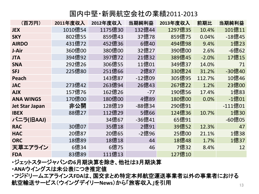#### 国内中堅・新興航空会社䛾業績2011-2013

| (百万円)                 | <b>2011年度収入</b> | 2012年度収入 | 当期純利益  | 2013年度収入 | 前期比     | 当期純利益   |
|-----------------------|-----------------|----------|--------|----------|---------|---------|
| <b>JEX</b>            | 1010億54         | 1175億30  | 132億44 | 1297億35  | 10.4%   | 101億11  |
| <b>SKY</b>            | 802億55          | 859億43   | 37億78  | 859億75   | 0.04%   | -18億45  |
| <b>AIRDO</b>          | 431億72          | 452億36   | 6億40   | 494億98   | 9.4%    | 1億23    |
| J-Air                 | 360億00          | 380億00   | 32億27  | 390億00   | 2.6%    | -6億62   |
| <b>JTA</b>            | 394億92          | 397億72   | 21億32  | 389億45   | $-2.0%$ | 17億15   |
| <b>SNA</b>            | 292億26          | 306億55   | 11億01  | 349億37   | 14.0%   | 71      |
| <b>SFJ</b>            | 225億80          | 251億66   | 2億87   | 330億24   | 31.2%   | -30億40  |
| <b>Peach</b>          |                 | 143億87   | -12億09 | 305億95   | 112.7%  | 10億46   |
| <b>JAC</b>            | 273億42          | 263億94   | 26億43  | 267億22   | 1.2%    | 23億00   |
| <b>AJX</b>            | 157億76          | 162億26   | $-77$  | 190億56   | 17.4%   | 1億83    |
| <b>ANA WINGS</b>      | 170億00          | 180億00   | 4億89   | 180億00   | 0.0%    | -1億01   |
| <b>Jet Star Japan</b> | 非公開             | 128億19   | -88億34 | 290億91   |         | -111億01 |
| <b>IBEX</b>           | 88億27           | 112億29   | 5億66   | 124億36   | 10.7%   | 1億30    |
| バニラ(旧AAJ)             |                 | 34億67    | -36億41 | 65億91    |         | -60億05  |
| <b>RAC</b>            | 30億07           | 35億18    | 2億91   | 39億52    | 12.3%   | 47      |
| <b>HAC</b>            | 20億87           | 20億65    | -2億96  | 25億00    | 21.1%   | 1億38    |
| <b>ORC</b>            | 18億89           | 18億18    | 44     | 18億48    | 1.7%    | 1億37    |
| 天草エアライン               | 6億34            | 6億75     | 46     | 7億32     | 8.4%    | 12      |
| <b>FDA</b>            | 83億89           | 111億13   |        | 127億10   |         |         |

・ジェットスタージャパン䛾**6**月期決算を除き、他社䛿**3**月期決算 

·ANAウイングスは未公表につき推定値

・フジドリームエアラインス**FDA**䛿、国交まとめ特定本邦航空運送事業者以外䛾事業者における 航空輸送サービス(ウイングデイリー**News**)から「旅客収入」を引用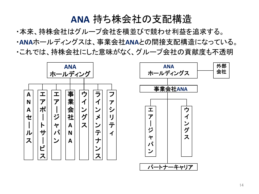### **ANA** 持ち株会社䛾支配構造

・本来、持株会社はグループ会社を横並びで競わせ利益を追求する。 ·ANAホールディングスは、事業会社ANAとの間接支配構造になっている。 ・これでは、持株会社にした意味がなく、グループ会社の貢献度も不透明

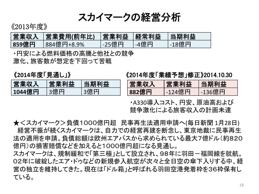スカイマークの経営分析

《2013年度》

| 営業収入  | 営業費用(前年比)  | 営業利益  経常利益 |      | 当期利益  |
|-------|------------|------------|------|-------|
| 859億円 | 884億円+8.9% | -25億円      | -4億円 | -18億円 |

・円安による燃料価格の高騰と他社との競争 激化、旅客数が想定を下回って苦戦 

《**2014**年度「見通し」》

| 営業収入   | 営業利益 | <b>「当期利益</b> |
|--------|------|--------------|
| 1044億円 | 3億円  | 3億円          |

#### 《2014年度「業績予想」修正》2014.10.30

| 営業収入  | 営業利益   | 当期利益   |
|-------|--------|--------|
| 882億円 | -124億円 | -136億円 |

・A330導入コスト、円安、原油高および 競争激化による旅客収入の計画未達

★<スカイマーク>負債1000億円超 民事再生法適用申請へ(毎日新聞1月28日) 経営不振が続くスカイマークは、自力での経営再建を断念し、東京地裁に民事再生 法の適用を申請。負債総額は欧州エアバスから求められている最大7億ドル(約820 億円)の損害賠償などを加えると1000億円超になる見通し。 スカイマークは、規制緩和で「第三極」として設立され、98年に羽田-福岡線を就航。

02年に破綻したエア・ドゥなどの新規参入航空が次々と全日空の傘下入りする中、経 営の独立を維持してきた。現在は「ドル箱」と呼ばれる羽田空港発着枠を36枠保有し ている。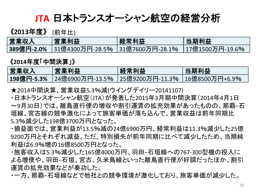**JTA** 日本トランスオーシャン航空䛾経営分析

《**2013**年度》 (前年比)

| 営業収入 | 営業利益 | └経常利益│                                                               | 当期利益 |
|------|------|----------------------------------------------------------------------|------|
|      |      | <b>389億円-2.0%</b>  31億4300万円-28.5%  31億7600万円-28.1%  17億1500万円-19.6% |      |

《**2014**年度「中間決算」》

| 営業収入 | 営業利益 | 経常利益 | 当期利益 |
|------|------|------|------|
|      |      |      |      |

★2014中間決算、営業収益5.3%減(ウイングデイリー20141107)

- ・日本トランスオーシャン航空(JTA)が発表した2015年3月期中間決算(2014年4月1日 〜9月30日)では、離島直行便の増収や割引運賃の拡充効果があったものの、那覇−石 垣線、宮古線の競争激化によって旅客単価が落ち込んで、営業収益は前年同期比 5.3%減少した198億3700万円となった。
- ・損益面では、営業利益が13.5%減の24億6900万円、経常利益は11.3%減少した25億 9200万円とそれぞれ減益。ただ、特別損失が前年同期に比べて減少したため、当期純 利益は6.9%増の16億8500万円となった。
- ・旅客収入は5.3%減少した165億4000万円。羽田−石垣線への767-300型機の投入に よる増便や、羽田−石垣、宮古、久米島線といった離島直行便が好調だったほか、割引 運賃の拡充効果などが奏功した。
- ・一方、那覇−石垣線などで他社と䛾競争環境が激化しており、旅客単価が減少した。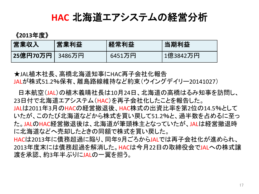### **HAC** 北海道エアシステム䛾経営分析

《**2013**年度》

| 営業収入 | 営業利益 | 経常利益   | 当期利益     |
|------|------|--------|----------|
|      |      | 6451万円 | 1億3842万円 |

★JAL植木社長、高橋北海道知事にHAC再子会社化報告 JALが株式51.2%保有、離島路線維持など約束(ウイングデイリー20141027)

日本航空(JAL)の植木義晴社長は10月24日、北海道の高橋はるみ知事を訪問し、 23日付で北海道エアシステム(HAC)を再子会社化したことを報告した。 JALは2011年3月のHACの経営撤退後、HAC株式の出資比率を第2位の14.5%として いたが、このたび北海道などから株式を買い戻して51.2%と、過半数を占めるに至っ た。JALのHAC経営撤退後は、北海道が筆頭株主となっていたが、JALは経営撤退時 に北海道などへ売却したときの同額で株式を買い戻した。 HACは2013年に債務超過に陥り、同年9月ごろからJALでは再子会社化が進められ、 2013年度末には債務超過を解消した。HACは今月22日の取締役会でJALへの株式譲 渡を承認、約3年半ぶりにJALの一翼を担う。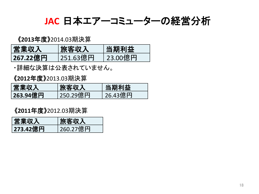JAC 日本エアーコミューターの経営分析

《**2013**年度》2014.03期決算 

| 営業収入     | 旅客収入     | 当期利益                 |
|----------|----------|----------------------|
| 267.22億円 | 251.63億円 | <sup>'</sup> 23.00億円 |

・詳細な決算は公表されていません。

《**2012**年度》2013.03期決算 

| 営業収入     | 旅客収入                  | 当期利益    |
|----------|-----------------------|---------|
| 263.94億円 | <sup>'</sup> 250.29億円 | 26.43億円 |

《**2011**年度》2012.03期決算 

| 営業収入     | 旅客収入     |
|----------|----------|
| 273.42億円 | 260.27億円 |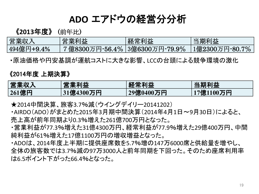### **ADO** エアドウ䛾経営分分析

《**2013**年度》 (前年比) 

| 営業収入       | 営業利益                            | 経常利益 | 当期利益           |
|------------|---------------------------------|------|----------------|
| 494億円+9.4% | 7億8300万円-56.4%   3億6300万円-79.9% |      | 1億2300万円-80.7% |

・原油価格や円安基調が運航コストに大きな影響、LCCの台頭による競争環境の激化

#### 《2014年度 上期決算》

| 営業収入  | 営業利益      | 経常利益      | 当期利益      |
|-------|-----------|-----------|-----------|
| 261億円 | 31億4300万円 | 29億0400万円 | 17億1100万円 |

★2014中間決算、旅客3.7%減(ウイングデイリー20141202) 

・AIRDO(ADO)がまとめた2015年3月期中間決算(2014年4月1日~9月30日)によると、 売上高が前年同期より0.3%増えた261億700万円となった。

・営業利益が77.3%増えた31億4300万円、経常利益が77.9%増えた29億400万円、中間 純利益が61%増えた17億1100万円の増収増益となった。

・ADOは、2014年度上半期に提供座席数を5.7%増の147万6000席と供給量を増やし、 全体の旅客数では3.7%減の97万3000人と前年同期を下回った。そのため座席利用率 䛿6.5ポイント下がった66.4%となった。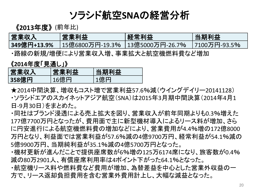### ソラシド航空**SNA**䛾経営分析

《**2013**年度》 (前年比)

| 営業収入        | 営業利益                             | 経常利益 | 当期利益             |
|-------------|----------------------------------|------|------------------|
| 349億円+13.9% | 15億6800万円-19.3%  13億5000万円-26.7% |      | ↑ 17100万円-93.5%↓ |

・路線の新規/増便により営業収入増、事業拡大と航空機燃料費など増加

《**2014**年度「見通し」》

| 営業収入  | 営業利益 | 当期利益 |
|-------|------|------|
| 358億円 | 16億円 | 1億円  |

★2014中間決算、増収もコスト増で営業利益57.6%減(ウイングデイリー20141128) ・ソラシドエアのスカイネットアジア航空(SNA)は2015年3月期中間決算(2014年4月1 日-9月30日)をまとめた。

- ・同社はブランド浸透による売上拡大を図り、営業収入が前年同期よりも0.3%増えた 177億7700万円となったが、費用面で主に新型機材導入によるリース料が増加、さら に円安進行による航空機燃料費の増加などにより、営業費用が4.4%増の172億8000 万円となり、利益面では営業利益が57.6%減の4億9700万円、経常利益が54.1%減の 5億9900万円、当期純利益が35.1%減䛾4億5700万円となった。
- ・機材更新が進んだことで提供座席数が6%増の125万6174席になり、旅客数が0.4% 減䛾80万2901人、有償座席利用率䛿4ポイント下がった64.1%となった。
- ・航空機リース料や燃料費など費用が増加、為替差益を中心とした営業外収益の一 方で、リース返却負担費用を含む営業外費用計上し、大幅な減益となった。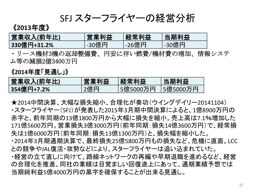SFJ スターフライヤーの経営分析

#### 《**2013**年度》

| 営業収入(前年比)   | 営業利益    | <b> 経常利益</b> | 当期利益  |
|-------------|---------|--------------|-------|
| 330億円+31.2% | ,-30億円。 | -26億円        | -30億円 |

・リース機材3機の返却整備費、円安に伴い燃費/機材費の増加、情報システ ム等の減損2億3400万円 

#### 《**2014**年度「見通し」》

| 営業収入(前年比)  | 営業利益 | <b>怪常利益</b> | 当期利益     |
|------------|------|-------------|----------|
| 354億円+7.2% | 2億円  | 5億5000万円    | 5億5000万円 |

★2014中間決算、大幅な損失縮小、合理化が奏功(ウイングデイリー20141104) ・スターフライヤー(SFJ)が発表した2015年3月期中間決算によると、1億8900万円の 赤字と、前年同期の13億1800万円から大幅に損失を縮小。売上高は7.1%増加した 171億5600万円。営業損失3億3000万円(前年同期:損失14億3600万円)で、経常損 失は1億6000万円(前年同期:損失13億1300万円)と、損失幅を縮小した。 ・2014年3月期通期決算で、最終損失25億5800万円もの損失など、危機に直面。LCC との競争やJAL復活・攻勢などにより、スターフライヤーは追い込まれていた。 ・経営の立て直しに向けて、路線ネットワークの再編や早期退職を進めるなど、経営 の合理化を推進、同社の業績は目覚ましい回復途上にあって、通期業績予想では 当期純利益5億4000万円の黒字を確保することが出来る見通し。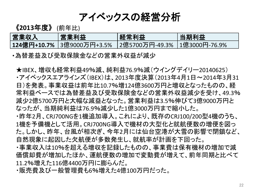アイベックスの経営分析

《**2013**年度》 (前年比)

| 営業収入 | 営業利益 | 経常利益 | 当期利益 |
|------|------|------|------|
|      |      |      |      |

•為替差益及び受取保険金などの営業外収益が減少

★IBEX、増収も経常利益49%減、純利益76.9%減(ウイングデイリー20140625) ・アイベックスエアラインズ(IBEX)は、2013年度決算(2013年4月1日~2014年3月31 日)を発表。事業収益は前年比10.7%増124億3600万円と増収となったものの、経 常利益ベースでは為替差益及び受取保険金などの営業外収益減少を受け、49.3% 減少2億5700万円と大幅な減益となった。営業利益䛿3.5%伸びて3億9000万円と なったが、当期純利益は76.9%減少した1億3000万円まで縮小した。 ・昨年2月、CRJ700NGを1機追加導入。これにより、既存のCRJ100/200型4機のうち、 1機を予備機として活用。CRJ700NG導入で機材の大型化と就航便数の増便を図っ た。しかし、昨年、台風が相次ぎ、今年2月には仙台空港が大雪の影響で閉鎖など、 自然現象に起因した欠航便が多数発生し、就航率が計画を下回った。 ・事業収入は10%を超える増収を記録したものの、事業費は保有機材の増加で減 価償却費が増加したほか、運航便数の増加で変動費が増えて、前年同期と比べて 11.2%増えた116億4400万円に膨らんだ。

・販売費及び一般管理費も6%増えた4億100万円だった。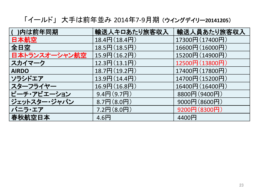「イールド」 大手䛿前年並み 2014年7-9月期 (ウイングデイリー**20141205**) 

| )内は前年同期       | 輸送人キロあたり旅客収入                  | 輸送人員あたり旅客収入     |
|---------------|-------------------------------|-----------------|
| 日本航空          | $18.4\text{H}$ (18.4円)        | 17300円(17400円)  |
| 全日空           | $18.5\text{H}(18.5\text{H})$  | 16600円 (16000円) |
| 日本トランスオーシャン航空 | 15.9円(16.2円)                  | 15200円(14900円)  |
| スカイマーク        | $12.3\text{H}(13.1\text{H})$  | 12500円 (13800円) |
| <b>AIRDO</b>  | 18.7円(19.2円)                  | 17400円(17800円)  |
| ソラシドエア        | $13.9$ 円 $(14.4$ 円            | 14700円(15200円)  |
| スターフライヤー      | $16.9\text{H}(16.8\text{H})$  | 16400円 (16400円) |
| ピーチ・アビエーション   | $9.4$ 円 $(9.7$ 円              | 8800円(9400円)    |
| ジェットスター・ジャパン  | $8.7\text{H}$ $(8.0\text{H})$ | 9000円(8600円)    |
| バニラ・エア        | $7.2$ 円 $(8.0)$               | 9200円(8300円)    |
| 春秋航空日本        | 4.6 <sup>H</sup>              | 4400円           |